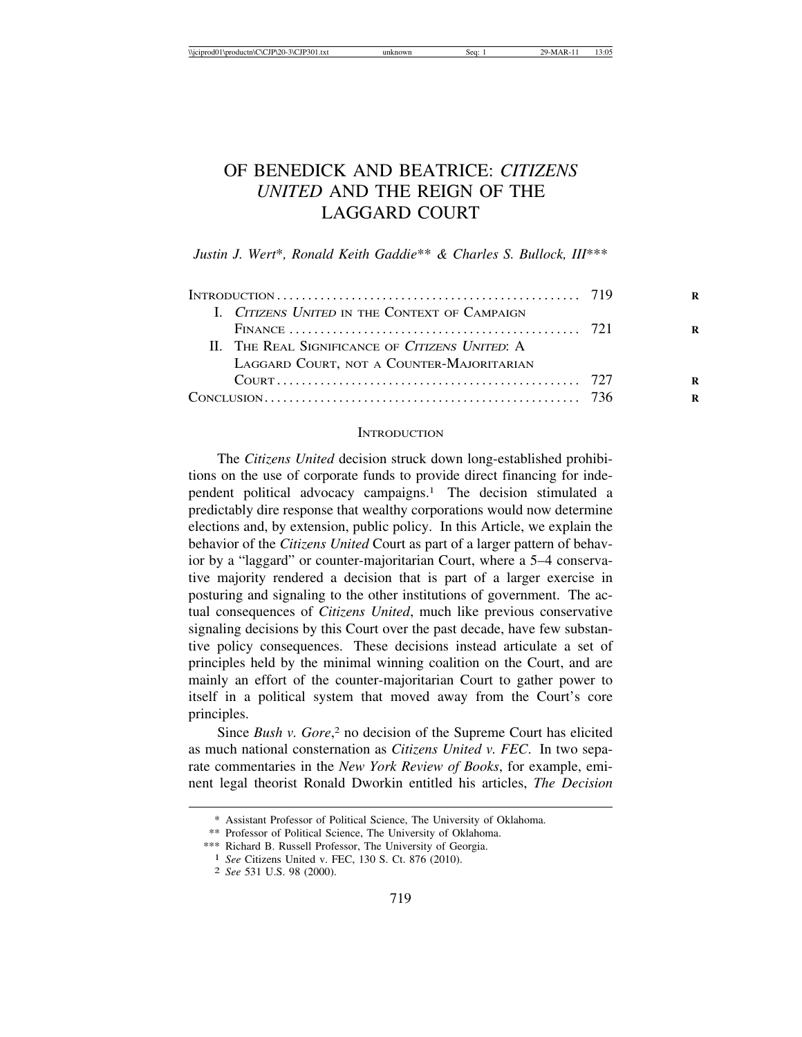# OF BENEDICK AND BEATRICE: *CITIZENS UNITED* AND THE REIGN OF THE LAGGARD COURT

*Justin J. Wert*\**, Ronald Keith Gaddie*\*\* *& Charles S. Bullock, III*\*\*\*

| I. CITIZENS UNITED IN THE CONTEXT OF CAMPAIGN   |  |
|-------------------------------------------------|--|
|                                                 |  |
| II. THE REAL SIGNIFICANCE OF CITIZENS UNITED: A |  |
| LAGGARD COURT, NOT A COUNTER-MAJORITARIAN       |  |
|                                                 |  |
|                                                 |  |

#### **INTRODUCTION**

The *Citizens United* decision struck down long-established prohibitions on the use of corporate funds to provide direct financing for independent political advocacy campaigns.1 The decision stimulated a predictably dire response that wealthy corporations would now determine elections and, by extension, public policy. In this Article, we explain the behavior of the *Citizens United* Court as part of a larger pattern of behavior by a "laggard" or counter-majoritarian Court, where a 5–4 conservative majority rendered a decision that is part of a larger exercise in posturing and signaling to the other institutions of government. The actual consequences of *Citizens United*, much like previous conservative signaling decisions by this Court over the past decade, have few substantive policy consequences. These decisions instead articulate a set of principles held by the minimal winning coalition on the Court, and are mainly an effort of the counter-majoritarian Court to gather power to itself in a political system that moved away from the Court's core principles.

Since *Bush v. Gore*,<sup>2</sup> no decision of the Supreme Court has elicited as much national consternation as *Citizens United v. FEC*. In two separate commentaries in the *New York Review of Books*, for example, eminent legal theorist Ronald Dworkin entitled his articles, *The Decision*

<sup>\*</sup> Assistant Professor of Political Science, The University of Oklahoma.

<sup>\*\*</sup> Professor of Political Science, The University of Oklahoma.

<sup>&</sup>lt;sup>1</sup> *See* Citizens United v. FEC, 130 S. Ct. 876 (2010). <sup>2</sup> *See* 531 U.S. 98 (2000).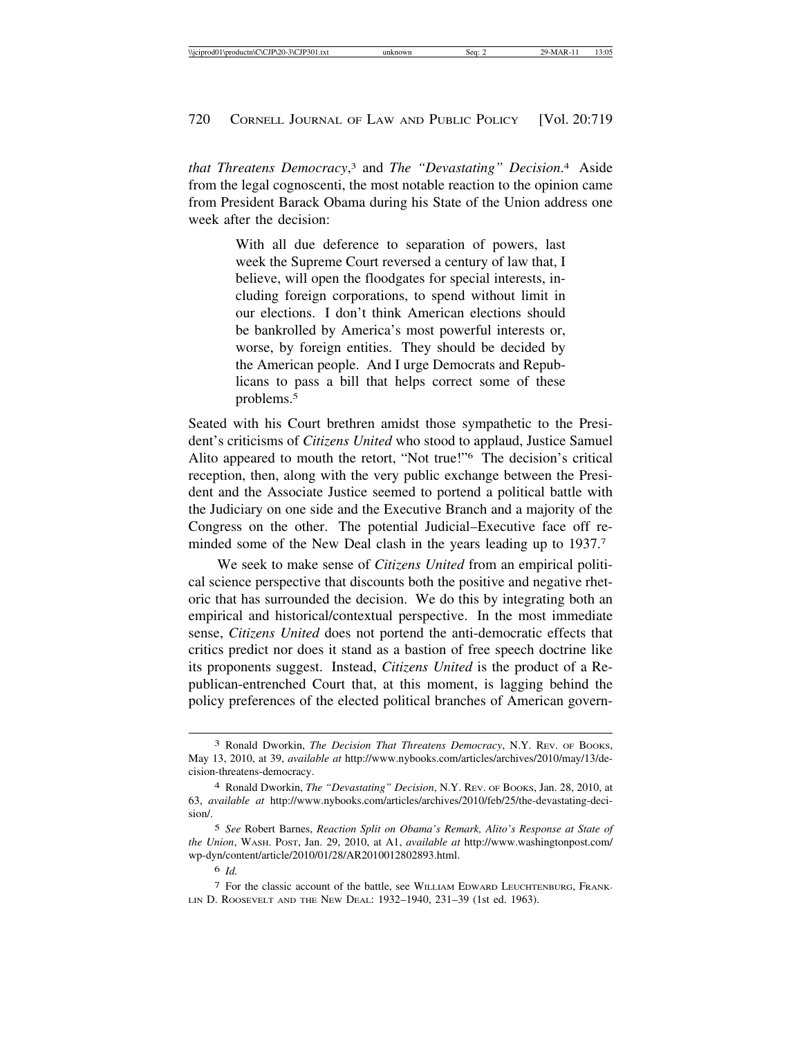*that Threatens Democracy*, 3 and *The "Devastating" Decision*. 4 Aside from the legal cognoscenti, the most notable reaction to the opinion came from President Barack Obama during his State of the Union address one week after the decision:

> With all due deference to separation of powers, last week the Supreme Court reversed a century of law that, I believe, will open the floodgates for special interests, including foreign corporations, to spend without limit in our elections. I don't think American elections should be bankrolled by America's most powerful interests or, worse, by foreign entities. They should be decided by the American people. And I urge Democrats and Republicans to pass a bill that helps correct some of these problems.5

Seated with his Court brethren amidst those sympathetic to the President's criticisms of *Citizens United* who stood to applaud, Justice Samuel Alito appeared to mouth the retort, "Not true!"6 The decision's critical reception, then, along with the very public exchange between the President and the Associate Justice seemed to portend a political battle with the Judiciary on one side and the Executive Branch and a majority of the Congress on the other. The potential Judicial–Executive face off reminded some of the New Deal clash in the years leading up to 1937.<sup>7</sup>

We seek to make sense of *Citizens United* from an empirical political science perspective that discounts both the positive and negative rhetoric that has surrounded the decision. We do this by integrating both an empirical and historical/contextual perspective. In the most immediate sense, *Citizens United* does not portend the anti-democratic effects that critics predict nor does it stand as a bastion of free speech doctrine like its proponents suggest. Instead, *Citizens United* is the product of a Republican-entrenched Court that, at this moment, is lagging behind the policy preferences of the elected political branches of American govern-

<sup>3</sup> Ronald Dworkin, *The Decision That Threatens Democracy*, N.Y. REV. OF BOOKS, May 13, 2010, at 39, *available at* http://www.nybooks.com/articles/archives/2010/may/13/decision-threatens-democracy.

<sup>4</sup> Ronald Dworkin, *The "Devastating" Decision*, N.Y. REV. OF BOOKS, Jan. 28, 2010, at 63, *available at* http://www.nybooks.com/articles/archives/2010/feb/25/the-devastating-decision/.

<sup>5</sup> *See* Robert Barnes, *Reaction Split on Obama's Remark, Alito's Response at State of the Union*, WASH. POST, Jan. 29, 2010, at A1, *available at* http://www.washingtonpost.com/ wp-dyn/content/article/2010/01/28/AR2010012802893.html.

<sup>6</sup> *Id.*

<sup>7</sup> For the classic account of the battle, see WILLIAM EDWARD LEUCHTENBURG, FRANK-LIN D. ROOSEVELT AND THE NEW DEAL: 1932–1940, 231–39 (1st ed. 1963).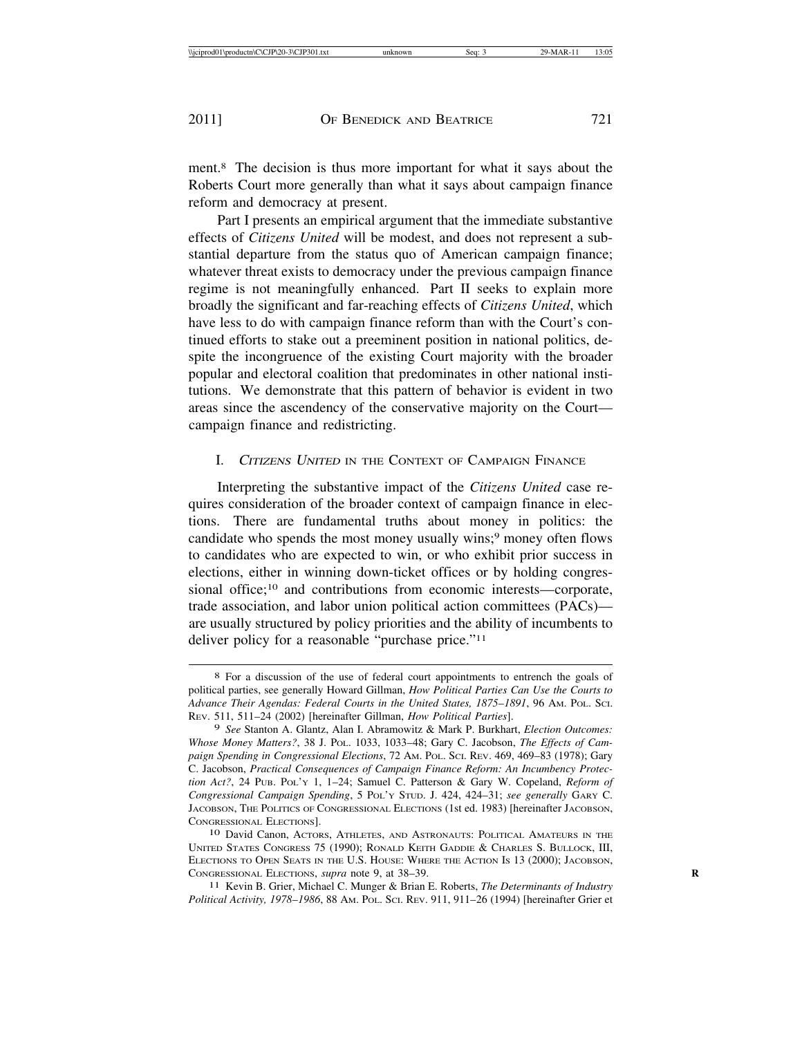ment.8 The decision is thus more important for what it says about the Roberts Court more generally than what it says about campaign finance reform and democracy at present.

Part I presents an empirical argument that the immediate substantive effects of *Citizens United* will be modest, and does not represent a substantial departure from the status quo of American campaign finance; whatever threat exists to democracy under the previous campaign finance regime is not meaningfully enhanced. Part II seeks to explain more broadly the significant and far-reaching effects of *Citizens United*, which have less to do with campaign finance reform than with the Court's continued efforts to stake out a preeminent position in national politics, despite the incongruence of the existing Court majority with the broader popular and electoral coalition that predominates in other national institutions. We demonstrate that this pattern of behavior is evident in two areas since the ascendency of the conservative majority on the Court campaign finance and redistricting.

## I. CITIZENS UNITED IN THE CONTEXT OF CAMPAIGN FINANCE

Interpreting the substantive impact of the *Citizens United* case requires consideration of the broader context of campaign finance in elections. There are fundamental truths about money in politics: the candidate who spends the most money usually wins;<sup>9</sup> money often flows to candidates who are expected to win, or who exhibit prior success in elections, either in winning down-ticket offices or by holding congressional office;<sup>10</sup> and contributions from economic interests—corporate, trade association, and labor union political action committees (PACs) are usually structured by policy priorities and the ability of incumbents to deliver policy for a reasonable "purchase price."11

11 Kevin B. Grier, Michael C. Munger & Brian E. Roberts, *The Determinants of Industry Political Activity, 1978–1986*, 88 AM. POL. SCI. REV. 911, 911–26 (1994) [hereinafter Grier et

<sup>8</sup> For a discussion of the use of federal court appointments to entrench the goals of political parties, see generally Howard Gillman, *How Political Parties Can Use the Courts to Advance Their Agendas: Federal Courts in the United States, 1875–1891*, 96 AM. POL. SCI. REV. 511, 511–24 (2002) [hereinafter Gillman, *How Political Parties*].

<sup>9</sup> *See* Stanton A. Glantz, Alan I. Abramowitz & Mark P. Burkhart, *Election Outcomes: Whose Money Matters?*, 38 J. POL. 1033, 1033–48; Gary C. Jacobson, *The Effects of Campaign Spending in Congressional Elections*, 72 AM. POL. SCI. REV. 469, 469–83 (1978); Gary C. Jacobson, *Practical Consequences of Campaign Finance Reform: An Incumbency Protection Act?*, 24 PUB. POL'Y 1, 1–24; Samuel C. Patterson & Gary W. Copeland, *Reform of Congressional Campaign Spending*, 5 POL'Y STUD. J. 424, 424–31; *see generally* GARY C. JACOBSON, THE POLITICS OF CONGRESSIONAL ELECTIONS (1st ed. 1983) [hereinafter JACOBSON, CONGRESSIONAL ELECTIONS]. <sup>10</sup> David Canon, ACTORS, ATHLETES, AND ASTRONAUTS: POLITICAL AMATEURS IN THE

UNITED STATES CONGRESS 75 (1990); RONALD KEITH GADDIE & CHARLES S. BULLOCK, III, ELECTIONS TO OPEN SEATS IN THE U.S. HOUSE: WHERE THE ACTION IS 13 (2000); JACOBSON, CONGRESSIONAL ELECTIONS, *supra* note 9, at 38–39. **R**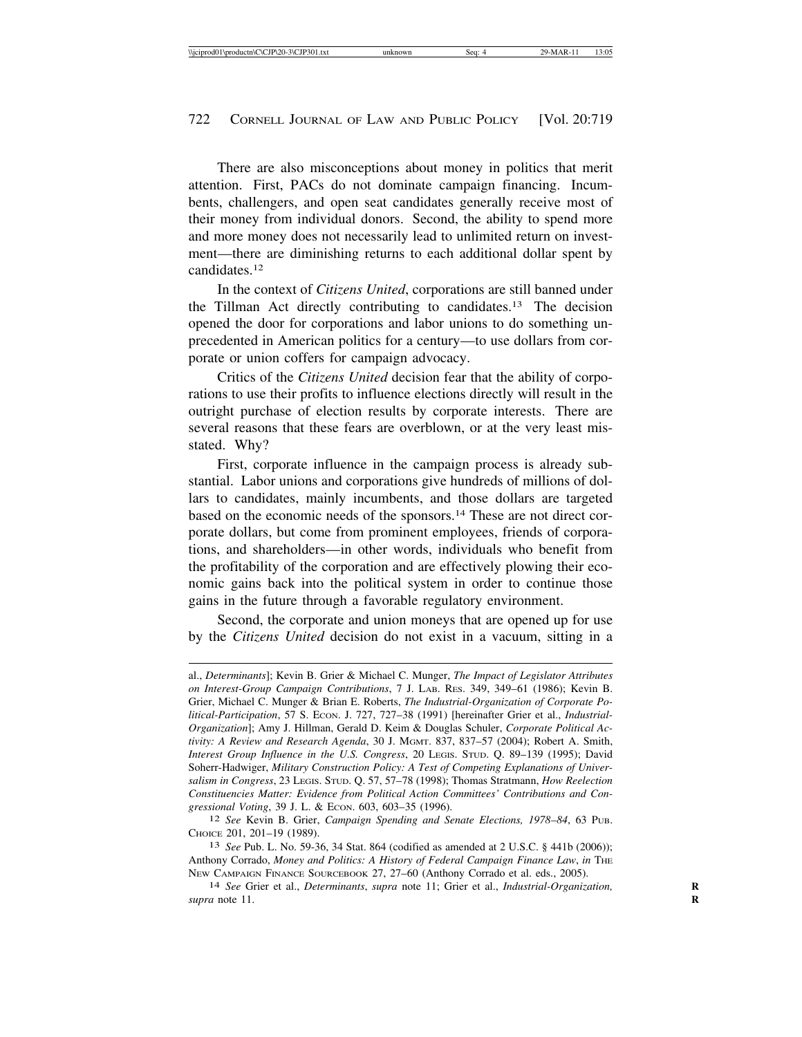There are also misconceptions about money in politics that merit attention. First, PACs do not dominate campaign financing. Incumbents, challengers, and open seat candidates generally receive most of their money from individual donors. Second, the ability to spend more and more money does not necessarily lead to unlimited return on investment—there are diminishing returns to each additional dollar spent by candidates.12

In the context of *Citizens United*, corporations are still banned under the Tillman Act directly contributing to candidates.13 The decision opened the door for corporations and labor unions to do something unprecedented in American politics for a century—to use dollars from corporate or union coffers for campaign advocacy.

Critics of the *Citizens United* decision fear that the ability of corporations to use their profits to influence elections directly will result in the outright purchase of election results by corporate interests. There are several reasons that these fears are overblown, or at the very least misstated. Why?

First, corporate influence in the campaign process is already substantial. Labor unions and corporations give hundreds of millions of dollars to candidates, mainly incumbents, and those dollars are targeted based on the economic needs of the sponsors.14 These are not direct corporate dollars, but come from prominent employees, friends of corporations, and shareholders—in other words, individuals who benefit from the profitability of the corporation and are effectively plowing their economic gains back into the political system in order to continue those gains in the future through a favorable regulatory environment.

Second, the corporate and union moneys that are opened up for use by the *Citizens United* decision do not exist in a vacuum, sitting in a

al., *Determinants*]; Kevin B. Grier & Michael C. Munger, *The Impact of Legislator Attributes on Interest-Group Campaign Contributions*, 7 J. LAB. RES. 349, 349–61 (1986); Kevin B. Grier, Michael C. Munger & Brian E. Roberts, *The Industrial-Organization of Corporate Po*litical-Participation, 57 S. Econ. J. 727, 727–38 (1991) [hereinafter Grier et al., *Industrial-Organization*]; Amy J. Hillman, Gerald D. Keim & Douglas Schuler, *Corporate Political Activity: A Review and Research Agenda*, 30 J. MGMT. 837, 837–57 (2004); Robert A. Smith, *Interest Group Influence in the U.S. Congress*, 20 LEGIS. STUD. Q. 89–139 (1995); David Soherr-Hadwiger, *Military Construction Policy: A Test of Competing Explanations of Universalism in Congress*, 23 LEGIS. STUD. Q. 57, 57–78 (1998); Thomas Stratmann, *How Reelection Constituencies Matter: Evidence from Political Action Committees' Contributions and Con-*

<sup>&</sup>lt;sup>12</sup> See Kevin B. Grier, *Campaign Spending and Senate Elections, 1978–84*, 63 Pub. CHOICE 201, 201–19 (1989). <sup>13</sup> *See* Pub. L. No. 59-36, 34 Stat. 864 (codified as amended at 2 U.S.C. § 441b (2006));

Anthony Corrado, *Money and Politics: A History of Federal Campaign Finance Law*, *in* THE NEW CAMPAIGN FINANCE SOURCEBOOK 27, 27–60 (Anthony Corrado et al. eds., 2005). <sup>14</sup> *See* Grier et al., *Determinants*, *supra* note 11; Grier et al., *Industrial-Organization,* **<sup>R</sup>**

*supra* note 11. **R**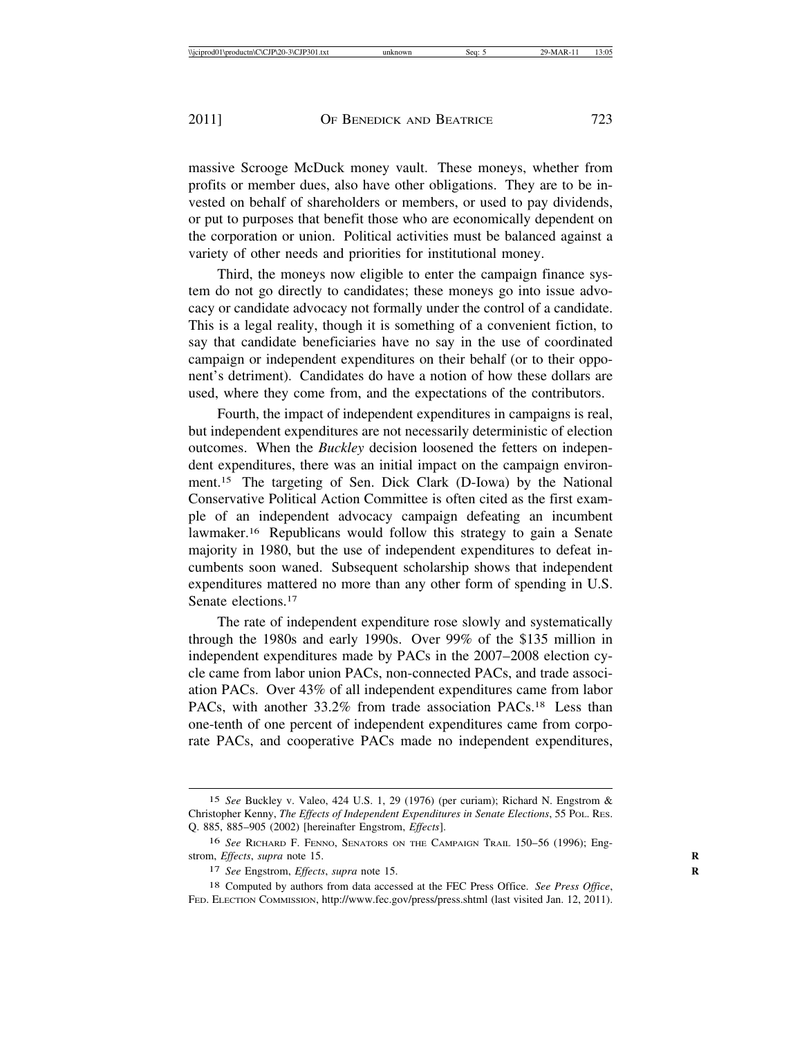massive Scrooge McDuck money vault. These moneys, whether from profits or member dues, also have other obligations. They are to be invested on behalf of shareholders or members, or used to pay dividends, or put to purposes that benefit those who are economically dependent on the corporation or union. Political activities must be balanced against a variety of other needs and priorities for institutional money.

Third, the moneys now eligible to enter the campaign finance system do not go directly to candidates; these moneys go into issue advocacy or candidate advocacy not formally under the control of a candidate. This is a legal reality, though it is something of a convenient fiction, to say that candidate beneficiaries have no say in the use of coordinated campaign or independent expenditures on their behalf (or to their opponent's detriment). Candidates do have a notion of how these dollars are used, where they come from, and the expectations of the contributors.

Fourth, the impact of independent expenditures in campaigns is real, but independent expenditures are not necessarily deterministic of election outcomes. When the *Buckley* decision loosened the fetters on independent expenditures, there was an initial impact on the campaign environment.15 The targeting of Sen. Dick Clark (D-Iowa) by the National Conservative Political Action Committee is often cited as the first example of an independent advocacy campaign defeating an incumbent lawmaker.16 Republicans would follow this strategy to gain a Senate majority in 1980, but the use of independent expenditures to defeat incumbents soon waned. Subsequent scholarship shows that independent expenditures mattered no more than any other form of spending in U.S. Senate elections.<sup>17</sup>

The rate of independent expenditure rose slowly and systematically through the 1980s and early 1990s. Over 99% of the \$135 million in independent expenditures made by PACs in the 2007–2008 election cycle came from labor union PACs, non-connected PACs, and trade association PACs. Over 43% of all independent expenditures came from labor PACs, with another 33.2% from trade association PACs.<sup>18</sup> Less than one-tenth of one percent of independent expenditures came from corporate PACs, and cooperative PACs made no independent expenditures,

<sup>15</sup> *See* Buckley v. Valeo, 424 U.S. 1, 29 (1976) (per curiam); Richard N. Engstrom & Christopher Kenny, *The Effects of Independent Expenditures in Senate Elections*, 55 POL. RES. Q. 885, 885–905 (2002) [hereinafter Engstrom, *Effects*].

<sup>16</sup> *See* RICHARD F. FENNO, SENATORS ON THE CAMPAIGN TRAIL 150–56 (1996); Engstrom, *Effects*, *supra* note 15.

<sup>17</sup> *See* Engstrom, *Effects*, *supra* note 15. **R**

<sup>18</sup> Computed by authors from data accessed at the FEC Press Office. *See Press Office*, FED. ELECTION COMMISSION, http://www.fec.gov/press/press.shtml (last visited Jan. 12, 2011).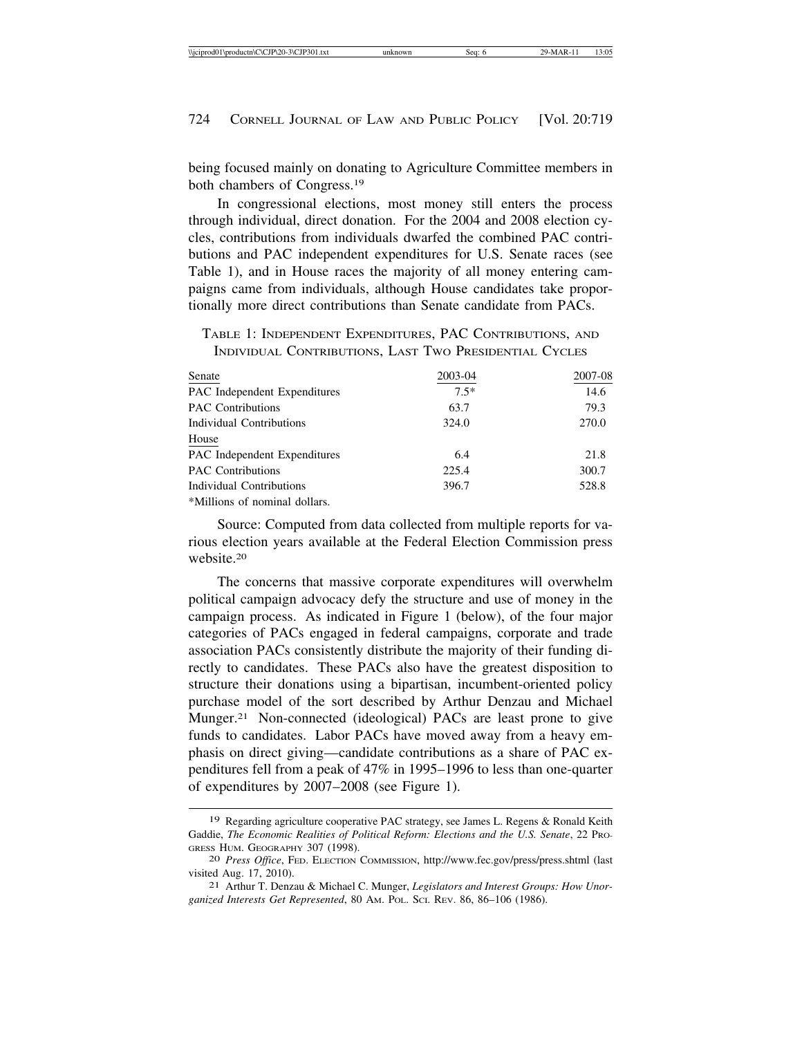being focused mainly on donating to Agriculture Committee members in both chambers of Congress.19

In congressional elections, most money still enters the process through individual, direct donation. For the 2004 and 2008 election cycles, contributions from individuals dwarfed the combined PAC contributions and PAC independent expenditures for U.S. Senate races (see Table 1), and in House races the majority of all money entering campaigns came from individuals, although House candidates take proportionally more direct contributions than Senate candidate from PACs.

TABLE 1: INDEPENDENT EXPENDITURES, PAC CONTRIBUTIONS, AND INDIVIDUAL CONTRIBUTIONS, LAST TWO PRESIDENTIAL CYCLES

| Senate                        | 2003-04 | 2007-08 |
|-------------------------------|---------|---------|
| PAC Independent Expenditures  | $7.5*$  | 14.6    |
| <b>PAC Contributions</b>      | 63.7    | 79.3    |
| Individual Contributions      | 324.0   | 270.0   |
| House                         |         |         |
| PAC Independent Expenditures  | 6.4     | 21.8    |
| <b>PAC Contributions</b>      | 225.4   | 300.7   |
| Individual Contributions      | 396.7   | 528.8   |
| *Millions of nominal dollars. |         |         |

Source: Computed from data collected from multiple reports for various election years available at the Federal Election Commission press website.20

The concerns that massive corporate expenditures will overwhelm political campaign advocacy defy the structure and use of money in the campaign process. As indicated in Figure 1 (below), of the four major categories of PACs engaged in federal campaigns, corporate and trade association PACs consistently distribute the majority of their funding directly to candidates. These PACs also have the greatest disposition to structure their donations using a bipartisan, incumbent-oriented policy purchase model of the sort described by Arthur Denzau and Michael Munger.21 Non-connected (ideological) PACs are least prone to give funds to candidates. Labor PACs have moved away from a heavy emphasis on direct giving—candidate contributions as a share of PAC expenditures fell from a peak of 47% in 1995–1996 to less than one-quarter of expenditures by 2007–2008 (see Figure 1).

<sup>19</sup> Regarding agriculture cooperative PAC strategy, see James L. Regens & Ronald Keith Gaddie, *The Economic Realities of Political Reform: Elections and the U.S. Senate*, 22 PRO-GRESS HUM. GEOGRAPHY 307 (1998). <sup>20</sup> *Press Office*, FED. ELECTION COMMISSION, http://www.fec.gov/press/press.shtml (last

visited Aug. 17, 2010). <sup>21</sup> Arthur T. Denzau & Michael C. Munger, *Legislators and Interest Groups: How Unor-*

*ganized Interests Get Represented*, 80 AM. POL. SCI. REV. 86, 86–106 (1986).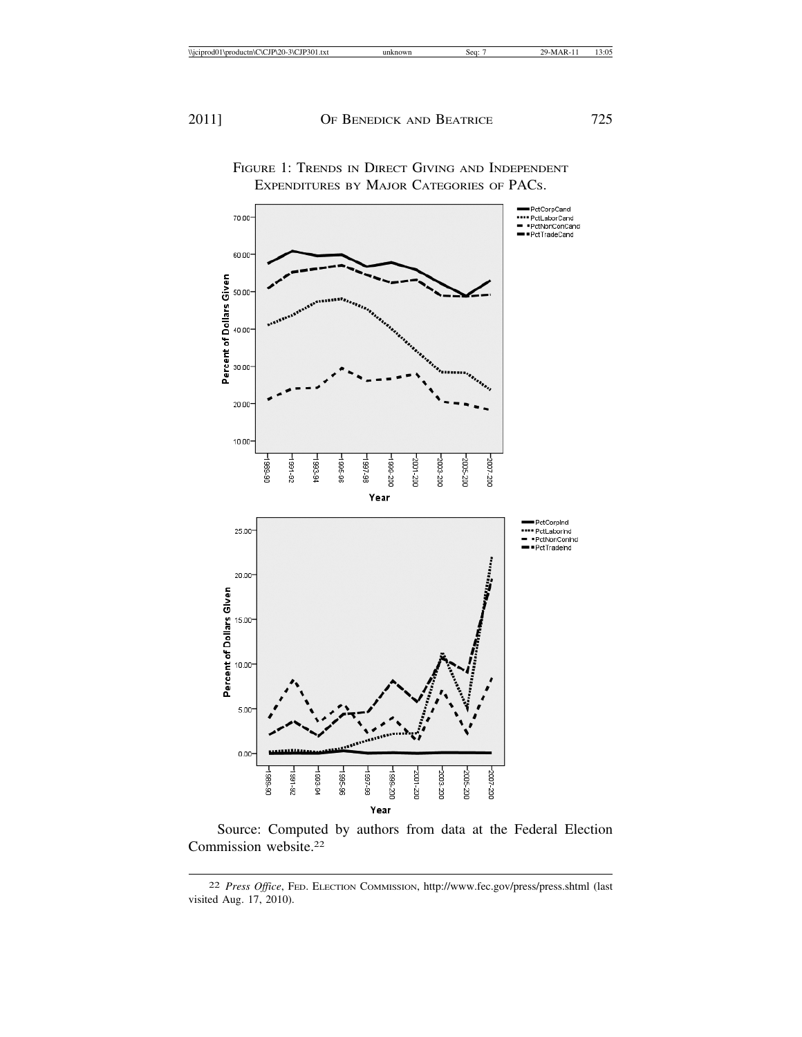

FIGURE 1: TRENDS IN DIRECT GIVING AND INDEPENDENT EXPENDITURES BY MAJOR CATEGORIES OF PACS.

Source: Computed by authors from data at the Federal Election Commission website.22

<sup>22</sup> *Press Office*, FED. ELECTION COMMISSION, http://www.fec.gov/press/press.shtml (last visited Aug. 17, 2010).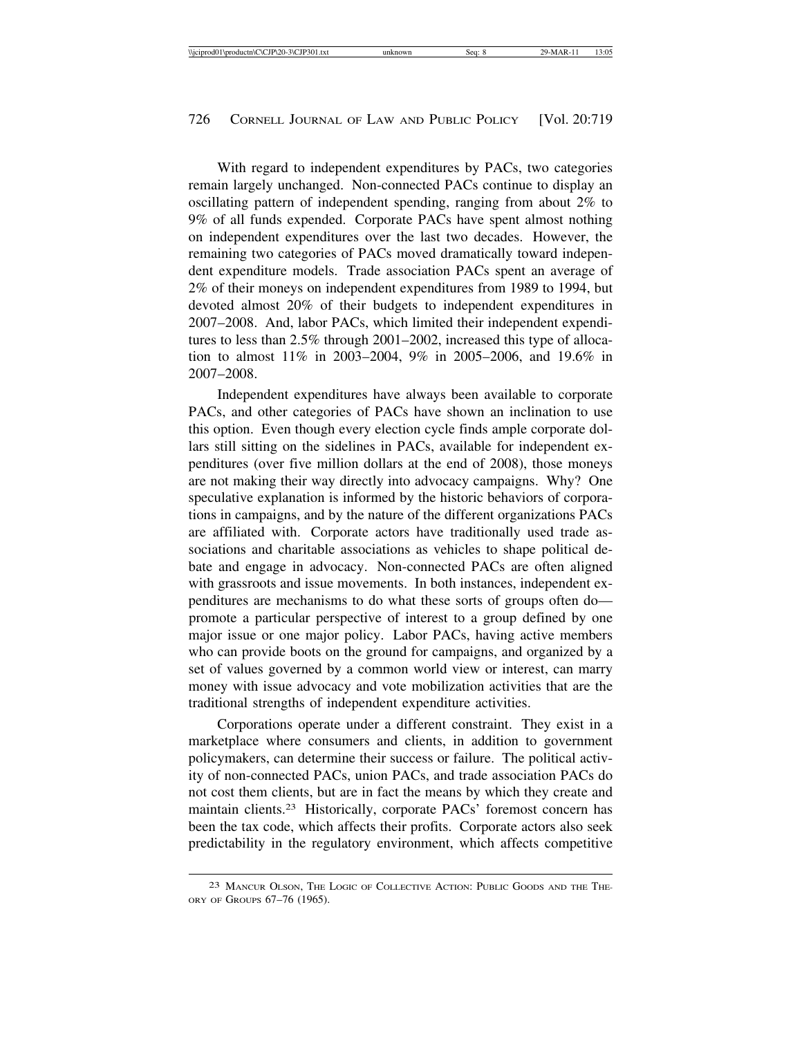With regard to independent expenditures by PACs, two categories remain largely unchanged. Non-connected PACs continue to display an oscillating pattern of independent spending, ranging from about 2% to 9% of all funds expended. Corporate PACs have spent almost nothing on independent expenditures over the last two decades. However, the remaining two categories of PACs moved dramatically toward independent expenditure models. Trade association PACs spent an average of 2% of their moneys on independent expenditures from 1989 to 1994, but devoted almost 20% of their budgets to independent expenditures in 2007–2008. And, labor PACs, which limited their independent expenditures to less than 2.5% through 2001–2002, increased this type of allocation to almost 11% in 2003–2004, 9% in 2005–2006, and 19.6% in 2007–2008.

Independent expenditures have always been available to corporate PACs, and other categories of PACs have shown an inclination to use this option. Even though every election cycle finds ample corporate dollars still sitting on the sidelines in PACs, available for independent expenditures (over five million dollars at the end of 2008), those moneys are not making their way directly into advocacy campaigns. Why? One speculative explanation is informed by the historic behaviors of corporations in campaigns, and by the nature of the different organizations PACs are affiliated with. Corporate actors have traditionally used trade associations and charitable associations as vehicles to shape political debate and engage in advocacy. Non-connected PACs are often aligned with grassroots and issue movements. In both instances, independent expenditures are mechanisms to do what these sorts of groups often do promote a particular perspective of interest to a group defined by one major issue or one major policy. Labor PACs, having active members who can provide boots on the ground for campaigns, and organized by a set of values governed by a common world view or interest, can marry money with issue advocacy and vote mobilization activities that are the traditional strengths of independent expenditure activities.

Corporations operate under a different constraint. They exist in a marketplace where consumers and clients, in addition to government policymakers, can determine their success or failure. The political activity of non-connected PACs, union PACs, and trade association PACs do not cost them clients, but are in fact the means by which they create and maintain clients.23 Historically, corporate PACs' foremost concern has been the tax code, which affects their profits. Corporate actors also seek predictability in the regulatory environment, which affects competitive

<sup>23</sup> MANCUR OLSON, THE LOGIC OF COLLECTIVE ACTION: PUBLIC GOODS AND THE THE-ORY OF GROUPS 67–76 (1965).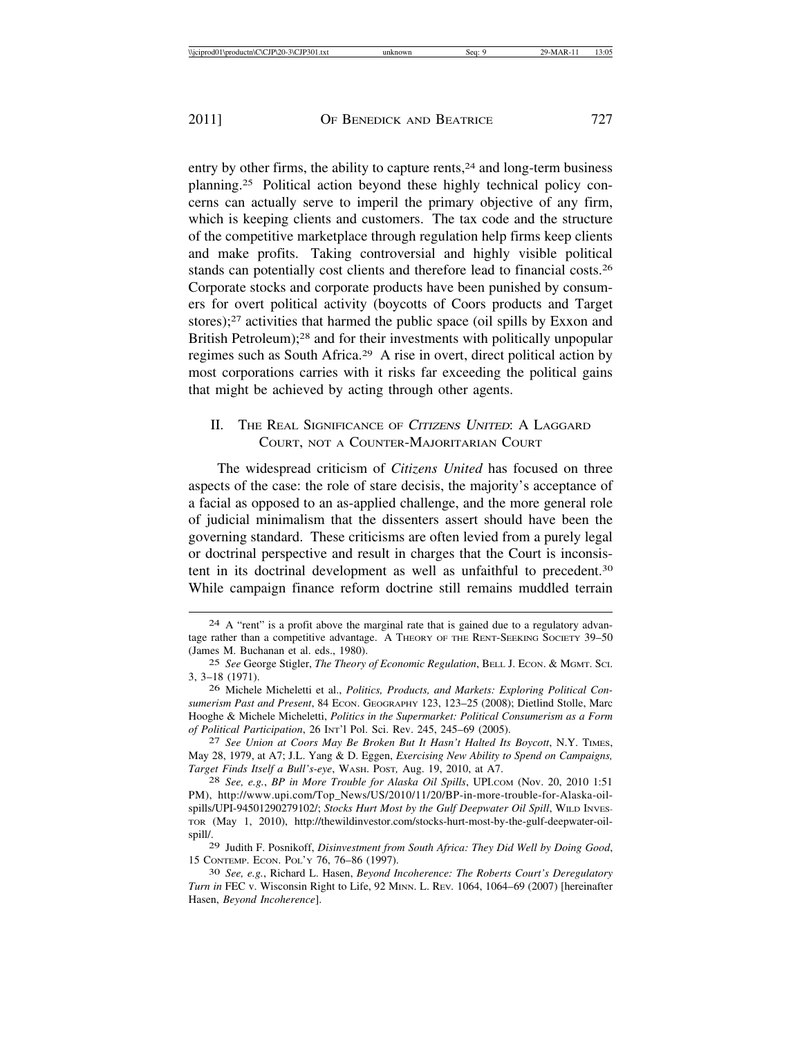entry by other firms, the ability to capture rents, $24$  and long-term business planning.25 Political action beyond these highly technical policy concerns can actually serve to imperil the primary objective of any firm, which is keeping clients and customers. The tax code and the structure of the competitive marketplace through regulation help firms keep clients and make profits. Taking controversial and highly visible political stands can potentially cost clients and therefore lead to financial costs.26 Corporate stocks and corporate products have been punished by consumers for overt political activity (boycotts of Coors products and Target stores);<sup>27</sup> activities that harmed the public space (oil spills by Exxon and British Petroleum);<sup>28</sup> and for their investments with politically unpopular regimes such as South Africa.29 A rise in overt, direct political action by most corporations carries with it risks far exceeding the political gains that might be achieved by acting through other agents.

## II. THE REAL SIGNIFICANCE OF CITIZENS UNITED: A LAGGARD COURT, NOT A COUNTER-MAJORITARIAN COURT

The widespread criticism of *Citizens United* has focused on three aspects of the case: the role of stare decisis, the majority's acceptance of a facial as opposed to an as-applied challenge, and the more general role of judicial minimalism that the dissenters assert should have been the governing standard. These criticisms are often levied from a purely legal or doctrinal perspective and result in charges that the Court is inconsistent in its doctrinal development as well as unfaithful to precedent.30 While campaign finance reform doctrine still remains muddled terrain

<sup>24</sup> A "rent" is a profit above the marginal rate that is gained due to a regulatory advantage rather than a competitive advantage. A THEORY OF THE RENT-SEEKING SOCIETY 39–50 (James M. Buchanan et al. eds., 1980).

<sup>25</sup> *See* George Stigler, *The Theory of Economic Regulation*, BELL J. ECON. & MGMT. SCI. 3, 3–18 (1971).

<sup>26</sup> Michele Micheletti et al., *Politics, Products, and Markets: Exploring Political Consumerism Past and Present*, 84 ECON. GEOGRAPHY 123, 123–25 (2008); Dietlind Stolle, Marc Hooghe & Michele Micheletti, *Politics in the Supermarket: Political Consumerism as a Form of Political Participation*, 26 INT'l Pol. Sci. Rev. 245, 245–69 (2005). <sup>27</sup> *See Union at Coors May Be Broken But It Hasn't Halted Its Boycott*, N.Y. TIMES,

May 28, 1979, at A7; J.L. Yang & D. Eggen, *Exercising New Ability to Spend on Campaigns, Target Finds Itself a Bull's-eye*, WASH. POST*,* Aug. 19, 2010, at A7. <sup>28</sup> *See, e.g.*, *BP in More Trouble for Alaska Oil Spills*, UPI.COM (Nov. 20, 2010 1:51

PM), http://www.upi.com/Top\_News/US/2010/11/20/BP-in-more-trouble-for-Alaska-oilspills/UPI-94501290279102/; *Stocks Hurt Most by the Gulf Deepwater Oil Spill*, WILD INVES-TOR (May 1, 2010), http://thewildinvestor.com/stocks-hurt-most-by-the-gulf-deepwater-oilspill/.

<sup>29</sup> Judith F. Posnikoff, *Disinvestment from South Africa: They Did Well by Doing Good*,

<sup>15</sup> CONTEMP. ECON. POL'Y 76, 76–86 (1997). <sup>30</sup> *See, e.g.*, Richard L. Hasen, *Beyond Incoherence: The Roberts Court's Deregulatory Turn in* FEC v. Wisconsin Right to Life, 92 MINN. L. REV*.* 1064, 1064–69 (2007) [hereinafter Hasen, *Beyond Incoherence*].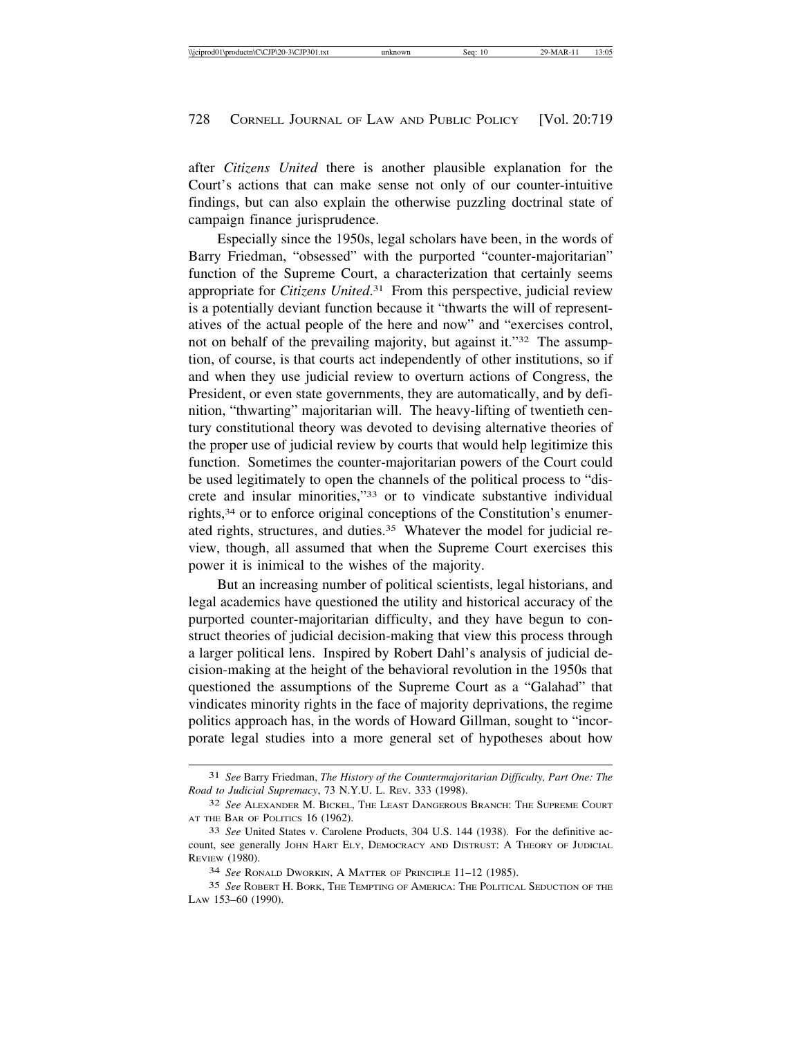after *Citizens United* there is another plausible explanation for the Court's actions that can make sense not only of our counter-intuitive findings, but can also explain the otherwise puzzling doctrinal state of campaign finance jurisprudence.

Especially since the 1950s, legal scholars have been, in the words of Barry Friedman, "obsessed" with the purported "counter-majoritarian" function of the Supreme Court, a characterization that certainly seems appropriate for *Citizens United*. 31 From this perspective, judicial review is a potentially deviant function because it "thwarts the will of representatives of the actual people of the here and now" and "exercises control, not on behalf of the prevailing majority, but against it."32 The assumption, of course, is that courts act independently of other institutions, so if and when they use judicial review to overturn actions of Congress, the President, or even state governments, they are automatically, and by definition, "thwarting" majoritarian will. The heavy-lifting of twentieth century constitutional theory was devoted to devising alternative theories of the proper use of judicial review by courts that would help legitimize this function. Sometimes the counter-majoritarian powers of the Court could be used legitimately to open the channels of the political process to "discrete and insular minorities,"33 or to vindicate substantive individual rights,34 or to enforce original conceptions of the Constitution's enumerated rights, structures, and duties.35 Whatever the model for judicial review, though, all assumed that when the Supreme Court exercises this power it is inimical to the wishes of the majority.

But an increasing number of political scientists, legal historians, and legal academics have questioned the utility and historical accuracy of the purported counter-majoritarian difficulty, and they have begun to construct theories of judicial decision-making that view this process through a larger political lens. Inspired by Robert Dahl's analysis of judicial decision-making at the height of the behavioral revolution in the 1950s that questioned the assumptions of the Supreme Court as a "Galahad" that vindicates minority rights in the face of majority deprivations, the regime politics approach has, in the words of Howard Gillman, sought to "incorporate legal studies into a more general set of hypotheses about how

<sup>31</sup> *See* Barry Friedman, *The History of the Countermajoritarian Difficulty, Part One: The Road to Judicial Supremacy*, 73 N.Y.U. L. REV. 333 (1998).

<sup>32</sup> *See* ALEXANDER M. BICKEL, THE LEAST DANGEROUS BRANCH: THE SUPREME COURT AT THE BAR OF POLITICS 16 (1962).

<sup>33</sup> *See* United States v. Carolene Products, 304 U.S. 144 (1938). For the definitive account, see generally JOHN HART ELY, DEMOCRACY AND DISTRUST: A THEORY OF JUDICIAL REVIEW (1980).

<sup>34</sup> *See* RONALD DWORKIN, A MATTER OF PRINCIPLE 11–12 (1985).

<sup>35</sup> *See* ROBERT H. BORK, THE TEMPTING OF AMERICA: THE POLITICAL SEDUCTION OF THE LAW 153–60 (1990).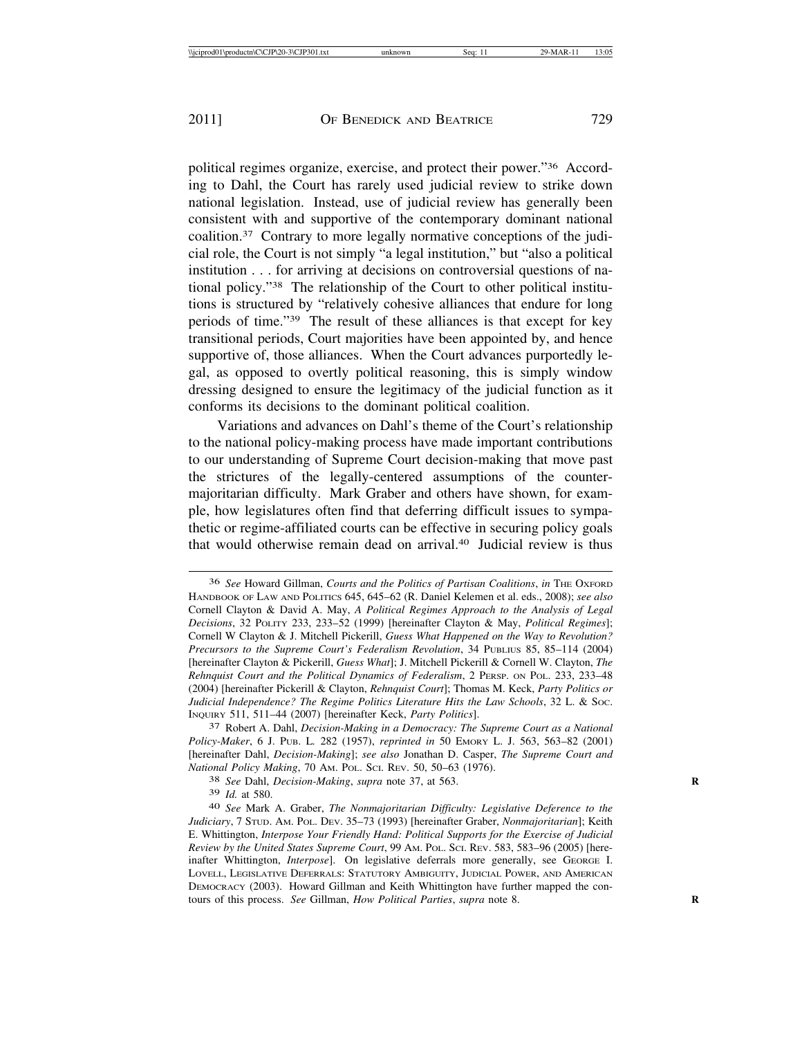political regimes organize, exercise, and protect their power."36 According to Dahl, the Court has rarely used judicial review to strike down national legislation. Instead, use of judicial review has generally been consistent with and supportive of the contemporary dominant national coalition.37 Contrary to more legally normative conceptions of the judicial role, the Court is not simply "a legal institution," but "also a political institution . . . for arriving at decisions on controversial questions of national policy."38 The relationship of the Court to other political institutions is structured by "relatively cohesive alliances that endure for long periods of time."39 The result of these alliances is that except for key transitional periods, Court majorities have been appointed by, and hence supportive of, those alliances. When the Court advances purportedly legal, as opposed to overtly political reasoning, this is simply window dressing designed to ensure the legitimacy of the judicial function as it conforms its decisions to the dominant political coalition.

Variations and advances on Dahl's theme of the Court's relationship to the national policy-making process have made important contributions to our understanding of Supreme Court decision-making that move past the strictures of the legally-centered assumptions of the countermajoritarian difficulty. Mark Graber and others have shown, for example, how legislatures often find that deferring difficult issues to sympathetic or regime-affiliated courts can be effective in securing policy goals that would otherwise remain dead on arrival.40 Judicial review is thus

*Policy-Maker*, 6 J. PUB. L*.* 282 (1957), *reprinted in* 50 EMORY L. J. 563, 563–82 (2001) [hereinafter Dahl, *Decision-Making*]; *see also* Jonathan D. Casper, *The Supreme Court and National Policy Making*, 70 AM. POL. SCI. REV. 50, 50–63 (1976). <sup>38</sup> *See* Dahl, *Decision-Making*, *supra* note 37, at 563. **<sup>R</sup>**

<sup>36</sup> *See* Howard Gillman, *Courts and the Politics of Partisan Coalitions*, *in* THE OXFORD HANDBOOK OF LAW AND POLITICS 645, 645–62 (R. Daniel Kelemen et al. eds., 2008); *see also* Cornell Clayton & David A. May, *A Political Regimes Approach to the Analysis of Legal Decisions*, 32 POLITY 233, 233–52 (1999) [hereinafter Clayton & May, *Political Regimes*]; Cornell W Clayton & J. Mitchell Pickerill, *Guess What Happened on the Way to Revolution? Precursors to the Supreme Court's Federalism Revolution*, 34 PUBLIUS 85, 85–114 (2004) [hereinafter Clayton & Pickerill, *Guess What*]; J. Mitchell Pickerill & Cornell W. Clayton, *The Rehnquist Court and the Political Dynamics of Federalism*, 2 PERSP. ON POL. 233, 233–48 (2004) [hereinafter Pickerill & Clayton, *Rehnquist Court*]; Thomas M. Keck, *Party Politics or Judicial Independence? The Regime Politics Literature Hits the Law Schools*, 32 L. & SOC. INQUIRY 511, 511–44 (2007) [hereinafter Keck, *Party Politics*]. <sup>37</sup> Robert A. Dahl, *Decision-Making in a Democracy: The Supreme Court as a National*

<sup>39</sup> *Id.* at 580. <sup>40</sup> *See* Mark A. Graber, *The Nonmajoritarian Difficulty: Legislative Deference to the Judiciary*, 7 STUD. AM. POL. DEV. 35–73 (1993) [hereinafter Graber, *Nonmajoritarian*]; Keith E. Whittington, *Interpose Your Friendly Hand: Political Supports for the Exercise of Judicial Review by the United States Supreme Court*, 99 AM. POL. SCI. REV. 583, 583–96 (2005) [hereinafter Whittington, *Interpose*]. On legislative deferrals more generally, see GEORGE I. LOVELL, LEGISLATIVE DEFERRALS: STATUTORY AMBIGUITY, JUDICIAL POWER, AND AMERICAN DEMOCRACY (2003). Howard Gillman and Keith Whittington have further mapped the contours of this process. *See* Gillman, *How Political Parties, supra* note 8.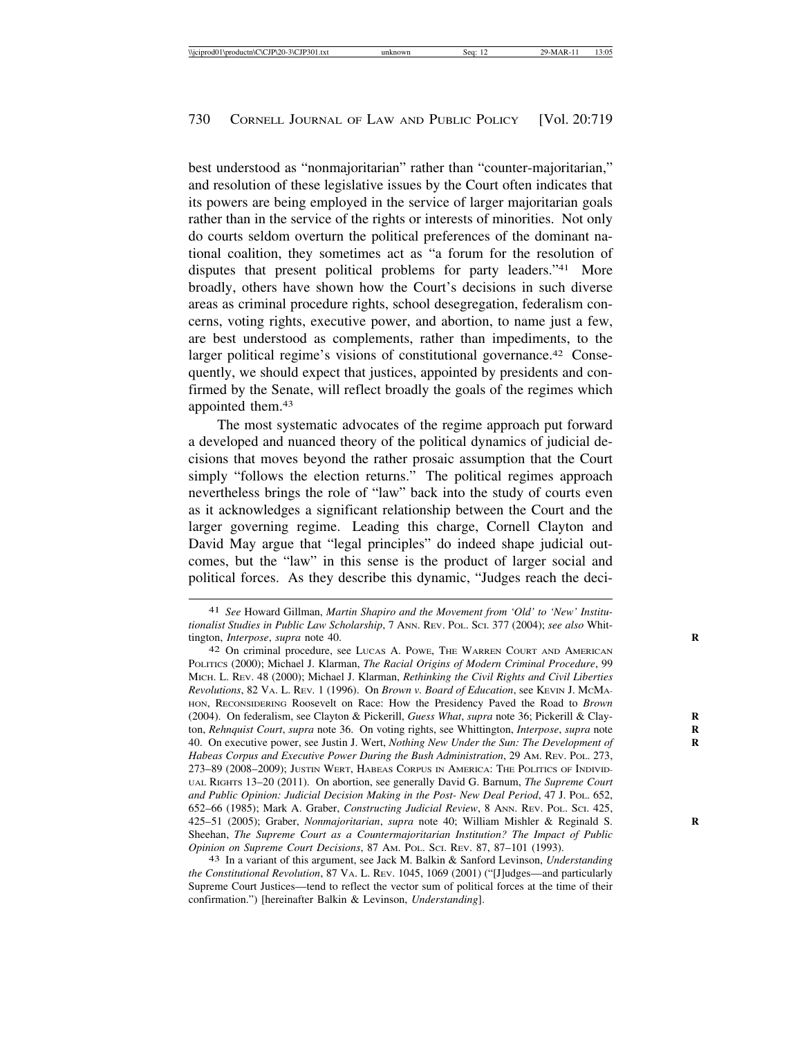best understood as "nonmajoritarian" rather than "counter-majoritarian," and resolution of these legislative issues by the Court often indicates that its powers are being employed in the service of larger majoritarian goals rather than in the service of the rights or interests of minorities. Not only do courts seldom overturn the political preferences of the dominant national coalition, they sometimes act as "a forum for the resolution of disputes that present political problems for party leaders."41 More broadly, others have shown how the Court's decisions in such diverse areas as criminal procedure rights, school desegregation, federalism concerns, voting rights, executive power, and abortion, to name just a few, are best understood as complements, rather than impediments, to the larger political regime's visions of constitutional governance.<sup>42</sup> Consequently, we should expect that justices, appointed by presidents and confirmed by the Senate, will reflect broadly the goals of the regimes which appointed them.43

The most systematic advocates of the regime approach put forward a developed and nuanced theory of the political dynamics of judicial decisions that moves beyond the rather prosaic assumption that the Court simply "follows the election returns." The political regimes approach nevertheless brings the role of "law" back into the study of courts even as it acknowledges a significant relationship between the Court and the larger governing regime. Leading this charge, Cornell Clayton and David May argue that "legal principles" do indeed shape judicial outcomes, but the "law" in this sense is the product of larger social and political forces. As they describe this dynamic, "Judges reach the deci-

<sup>41</sup> *See* Howard Gillman, *Martin Shapiro and the Movement from 'Old' to 'New' Institutionalist Studies in Public Law Scholarship*, 7 ANN. REV. POL. SCI. 377 (2004); *see also* Whittington, *Interpose*, *supra* note 40. **R**

<sup>42</sup> On criminal procedure, see LUCAS A. POWE, THE WARREN COURT AND AMERICAN POLITICS (2000); Michael J. Klarman, *The Racial Origins of Modern Criminal Procedure*, 99 MICH. L. REV. 48 (2000); Michael J. Klarman, *Rethinking the Civil Rights and Civil Liberties Revolutions*, 82 VA. L. REV*.* 1 (1996). On *Brown v. Board of Education*, see KEVIN J. MCMA-HON, RECONSIDERING Roosevelt on Race: How the Presidency Paved the Road to *Brown* (2004). On federalism, see Clayton & Pickerill, *Guess What*, *supra* note 36; Pickerill & Clay- **R** ton, *Rehnquist Court, supra* note 36. On voting rights, see Whittington, *Interpose, supra* note 40. On executive power, see Justin J. Wert, *Nothing New Under the Sun: The Development of* **R** *Habeas Corpus and Executive Power During the Bush Administration*, 29 AM. REV. POL. 273, 273–89 (2008–2009); JUSTIN WERT, HABEAS CORPUS IN AMERICA: THE POLITICS OF INDIVID-UAL RIGHTS 13–20 (2011). On abortion, see generally David G. Barnum, *The Supreme Court and Public Opinion: Judicial Decision Making in the Post- New Deal Period*, 47 J. POL. 652, 652–66 (1985); Mark A. Graber, *Constructing Judicial Review*, 8 ANN. REV. POL. SCI. 425, 425–51 (2005); Graber, *Nonmajoritarian*, *supra* note 40; William Mishler & Reginald S. **R** Sheehan, *The Supreme Court as a Countermajoritarian Institution? The Impact of Public Opinion on Supreme Court Decisions*, 87 AM. POL. SCI. REV. 87, 87–101 (1993). <sup>43</sup> In a variant of this argument, see Jack M. Balkin & Sanford Levinson, *Understanding*

*the Constitutional Revolution*, 87 VA. L. REV. 1045, 1069 (2001) ("[J]udges—and particularly Supreme Court Justices—tend to reflect the vector sum of political forces at the time of their confirmation.") [hereinafter Balkin & Levinson, *Understanding*].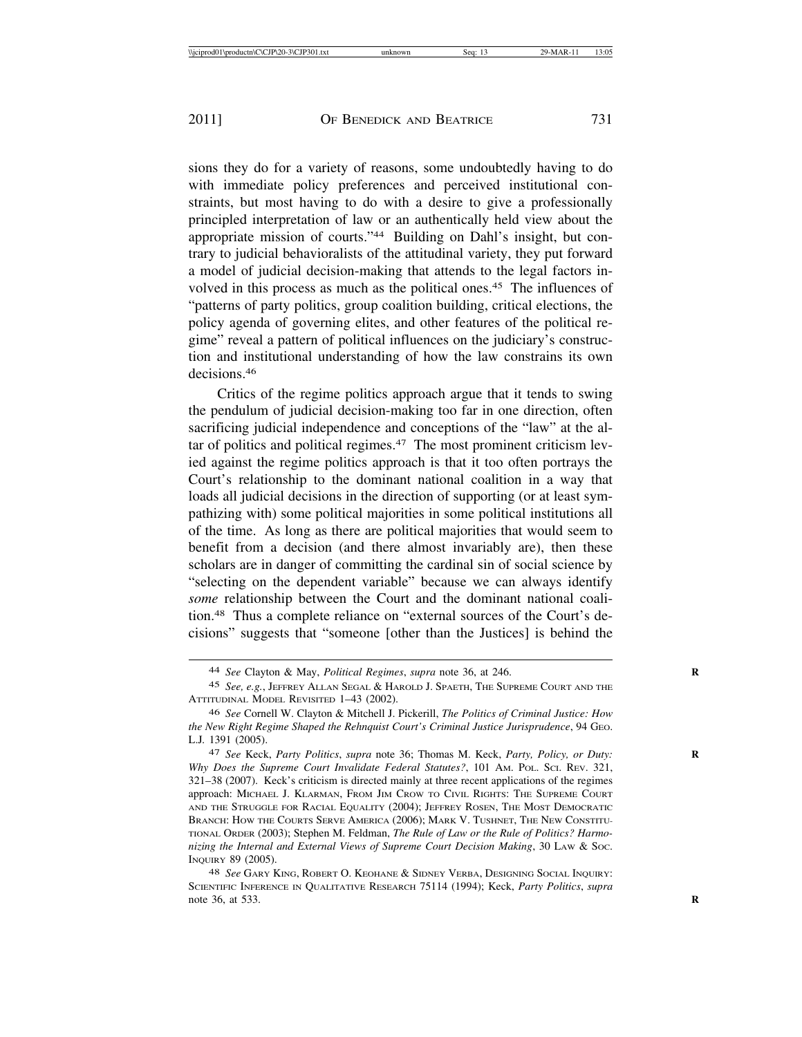sions they do for a variety of reasons, some undoubtedly having to do with immediate policy preferences and perceived institutional constraints, but most having to do with a desire to give a professionally principled interpretation of law or an authentically held view about the appropriate mission of courts."44 Building on Dahl's insight, but contrary to judicial behavioralists of the attitudinal variety, they put forward a model of judicial decision-making that attends to the legal factors involved in this process as much as the political ones.<sup>45</sup> The influences of "patterns of party politics, group coalition building, critical elections, the policy agenda of governing elites, and other features of the political regime" reveal a pattern of political influences on the judiciary's construction and institutional understanding of how the law constrains its own decisions.46

Critics of the regime politics approach argue that it tends to swing the pendulum of judicial decision-making too far in one direction, often sacrificing judicial independence and conceptions of the "law" at the altar of politics and political regimes.47 The most prominent criticism levied against the regime politics approach is that it too often portrays the Court's relationship to the dominant national coalition in a way that loads all judicial decisions in the direction of supporting (or at least sympathizing with) some political majorities in some political institutions all of the time. As long as there are political majorities that would seem to benefit from a decision (and there almost invariably are), then these scholars are in danger of committing the cardinal sin of social science by "selecting on the dependent variable" because we can always identify *some* relationship between the Court and the dominant national coalition.48 Thus a complete reliance on "external sources of the Court's decisions" suggests that "someone [other than the Justices] is behind the

<sup>44</sup> *See* Clayton & May, *Political Regimes*, *supra* note 36, at 246. **R**

<sup>45</sup> *See, e.g.*, JEFFREY ALLAN SEGAL & HAROLD J. SPAETH, THE SUPREME COURT AND THE ATTITUDINAL MODEL REVISITED 1–43 (2002).

<sup>46</sup> *See* Cornell W. Clayton & Mitchell J. Pickerill, *The Politics of Criminal Justice: How the New Right Regime Shaped the Rehnquist Court's Criminal Justice Jurisprudence*, 94 GEO. L.J*.* 1391 (2005).

<sup>47</sup> *See* Keck, *Party Politics*, *supra* note 36; Thomas M. Keck, *Party, Policy, or Duty:* **R** *Why Does the Supreme Court Invalidate Federal Statutes?*, 101 AM. POL. SCI. REV. 321, 321–38 (2007). Keck's criticism is directed mainly at three recent applications of the regimes approach: MICHAEL J. KLARMAN, FROM JIM CROW TO CIVIL RIGHTS: THE SUPREME COURT AND THE STRUGGLE FOR RACIAL EQUALITY (2004); JEFFREY ROSEN, THE MOST DEMOCRATIC BRANCH: HOW THE COURTS SERVE AMERICA (2006); MARK V. TUSHNET, THE NEW CONSTITU-TIONAL ORDER (2003); Stephen M. Feldman, *The Rule of Law or the Rule of Politics? Harmonizing the Internal and External Views of Supreme Court Decision Making*, 30 LAW & SOC. INQUIRY 89 (2005).

<sup>48</sup> *See* GARY KING, ROBERT O. KEOHANE & SIDNEY VERBA, DESIGNING SOCIAL INQUIRY: SCIENTIFIC INFERENCE IN QUALITATIVE RESEARCH 75114 (1994); Keck, *Party Politics*, *supra* note 36, at 533. **R**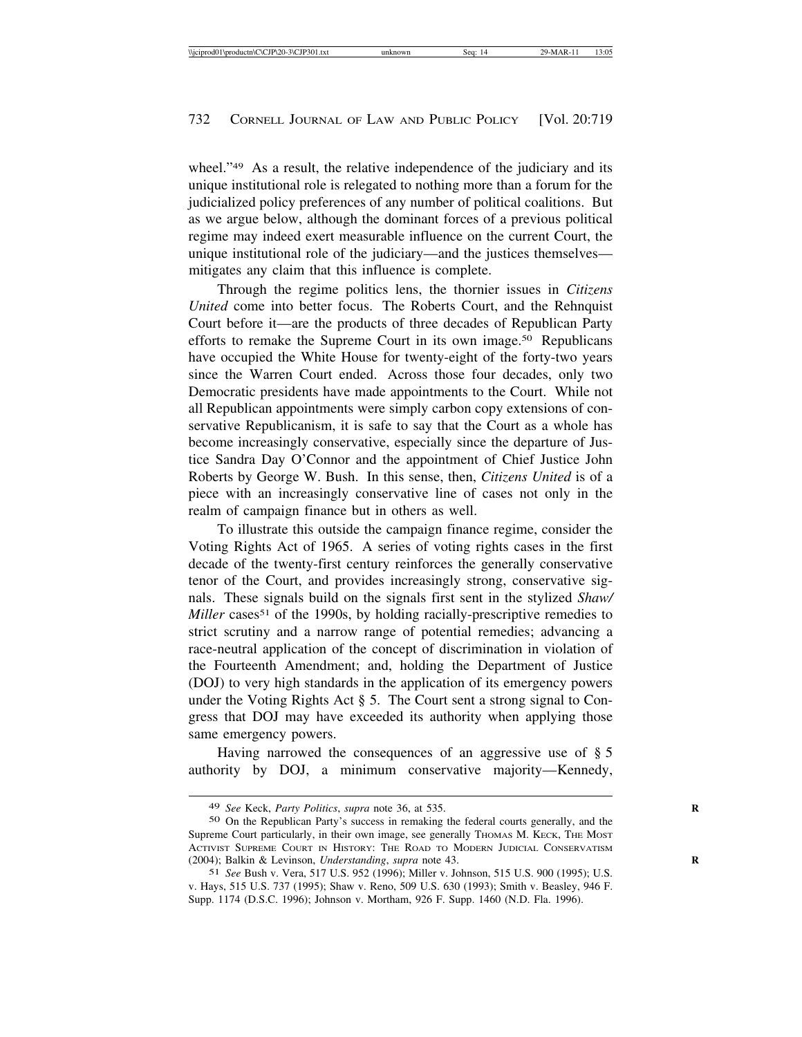wheel."<sup>49</sup> As a result, the relative independence of the judiciary and its unique institutional role is relegated to nothing more than a forum for the judicialized policy preferences of any number of political coalitions. But as we argue below, although the dominant forces of a previous political regime may indeed exert measurable influence on the current Court, the unique institutional role of the judiciary—and the justices themselves mitigates any claim that this influence is complete.

Through the regime politics lens, the thornier issues in *Citizens United* come into better focus. The Roberts Court, and the Rehnquist Court before it—are the products of three decades of Republican Party efforts to remake the Supreme Court in its own image.<sup>50</sup> Republicans have occupied the White House for twenty-eight of the forty-two years since the Warren Court ended. Across those four decades, only two Democratic presidents have made appointments to the Court. While not all Republican appointments were simply carbon copy extensions of conservative Republicanism, it is safe to say that the Court as a whole has become increasingly conservative, especially since the departure of Justice Sandra Day O'Connor and the appointment of Chief Justice John Roberts by George W. Bush. In this sense, then, *Citizens United* is of a piece with an increasingly conservative line of cases not only in the realm of campaign finance but in others as well.

To illustrate this outside the campaign finance regime, consider the Voting Rights Act of 1965. A series of voting rights cases in the first decade of the twenty-first century reinforces the generally conservative tenor of the Court, and provides increasingly strong, conservative signals. These signals build on the signals first sent in the stylized *Shaw/ Miller* cases<sup>51</sup> of the 1990s, by holding racially-prescriptive remedies to strict scrutiny and a narrow range of potential remedies; advancing a race-neutral application of the concept of discrimination in violation of the Fourteenth Amendment; and, holding the Department of Justice (DOJ) to very high standards in the application of its emergency powers under the Voting Rights Act § 5. The Court sent a strong signal to Congress that DOJ may have exceeded its authority when applying those same emergency powers.

Having narrowed the consequences of an aggressive use of § 5 authority by DOJ, a minimum conservative majority—Kennedy,

<sup>49</sup> *See* Keck, *Party Politics*, *supra* note 36, at 535. **R**

<sup>50</sup> On the Republican Party's success in remaking the federal courts generally, and the Supreme Court particularly, in their own image, see generally THOMAS M. KECK, THE MOST ACTIVIST SUPREME COURT IN HISTORY: THE ROAD TO MODERN JUDICIAL CONSERVATISM (2004); Balkin & Levinson, *Understanding*, *supra* note 43. **R**

<sup>51</sup> *See* Bush v. Vera, 517 U.S. 952 (1996); Miller v. Johnson, 515 U.S. 900 (1995); U.S. v. Hays, 515 U.S. 737 (1995); Shaw v. Reno, 509 U.S. 630 (1993); Smith v. Beasley, 946 F. Supp. 1174 (D.S.C. 1996); Johnson v. Mortham, 926 F. Supp. 1460 (N.D. Fla. 1996).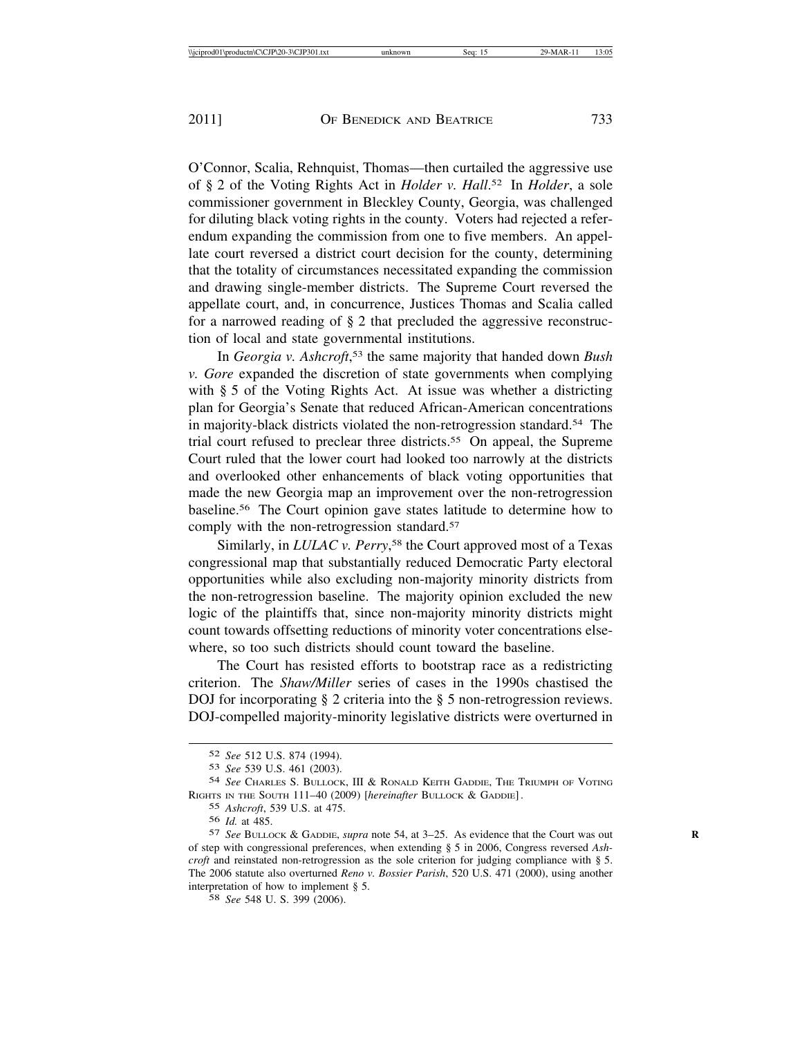O'Connor, Scalia, Rehnquist, Thomas—then curtailed the aggressive use of § 2 of the Voting Rights Act in *Holder v. Hall*. 52 In *Holder*, a sole commissioner government in Bleckley County, Georgia, was challenged for diluting black voting rights in the county. Voters had rejected a referendum expanding the commission from one to five members. An appellate court reversed a district court decision for the county, determining that the totality of circumstances necessitated expanding the commission and drawing single-member districts. The Supreme Court reversed the appellate court, and, in concurrence, Justices Thomas and Scalia called for a narrowed reading of § 2 that precluded the aggressive reconstruction of local and state governmental institutions.

In *Georgia v. Ashcroft*, 53 the same majority that handed down *Bush v. Gore* expanded the discretion of state governments when complying with § 5 of the Voting Rights Act. At issue was whether a districting plan for Georgia's Senate that reduced African-American concentrations in majority-black districts violated the non-retrogression standard.<sup>54</sup> The trial court refused to preclear three districts.55 On appeal, the Supreme Court ruled that the lower court had looked too narrowly at the districts and overlooked other enhancements of black voting opportunities that made the new Georgia map an improvement over the non-retrogression baseline.56 The Court opinion gave states latitude to determine how to comply with the non-retrogression standard.<sup>57</sup>

Similarly, in *LULAC v. Perry*, 58 the Court approved most of a Texas congressional map that substantially reduced Democratic Party electoral opportunities while also excluding non-majority minority districts from the non-retrogression baseline. The majority opinion excluded the new logic of the plaintiffs that, since non-majority minority districts might count towards offsetting reductions of minority voter concentrations elsewhere, so too such districts should count toward the baseline.

The Court has resisted efforts to bootstrap race as a redistricting criterion. The *Shaw/Miller* series of cases in the 1990s chastised the DOJ for incorporating § 2 criteria into the § 5 non-retrogression reviews. DOJ-compelled majority-minority legislative districts were overturned in

<sup>52</sup> *See* 512 U.S. 874 (1994).

<sup>53</sup> *See* 539 U.S. 461 (2003).

<sup>54</sup> *See* CHARLES S. BULLOCK, III & RONALD KEITH GADDIE, THE TRIUMPH OF VOTING RIGHTS IN THE SOUTH 111–40 (2009) [*hereinafter* BULLOCK & GADDIE] .

<sup>55</sup> *Ashcroft*, 539 U.S. at 475.

<sup>56</sup> *Id.* at 485.

<sup>57</sup> *See* BULLOCK & GADDIE, *supra* note 54, at 3–25. As evidence that the Court was out **R** of step with congressional preferences, when extending § 5 in 2006, Congress reversed *Ashcroft* and reinstated non-retrogression as the sole criterion for judging compliance with § 5. The 2006 statute also overturned *Reno v. Bossier Parish*, 520 U.S. 471 (2000), using another interpretation of how to implement § 5.

<sup>58</sup> *See* 548 U. S. 399 (2006).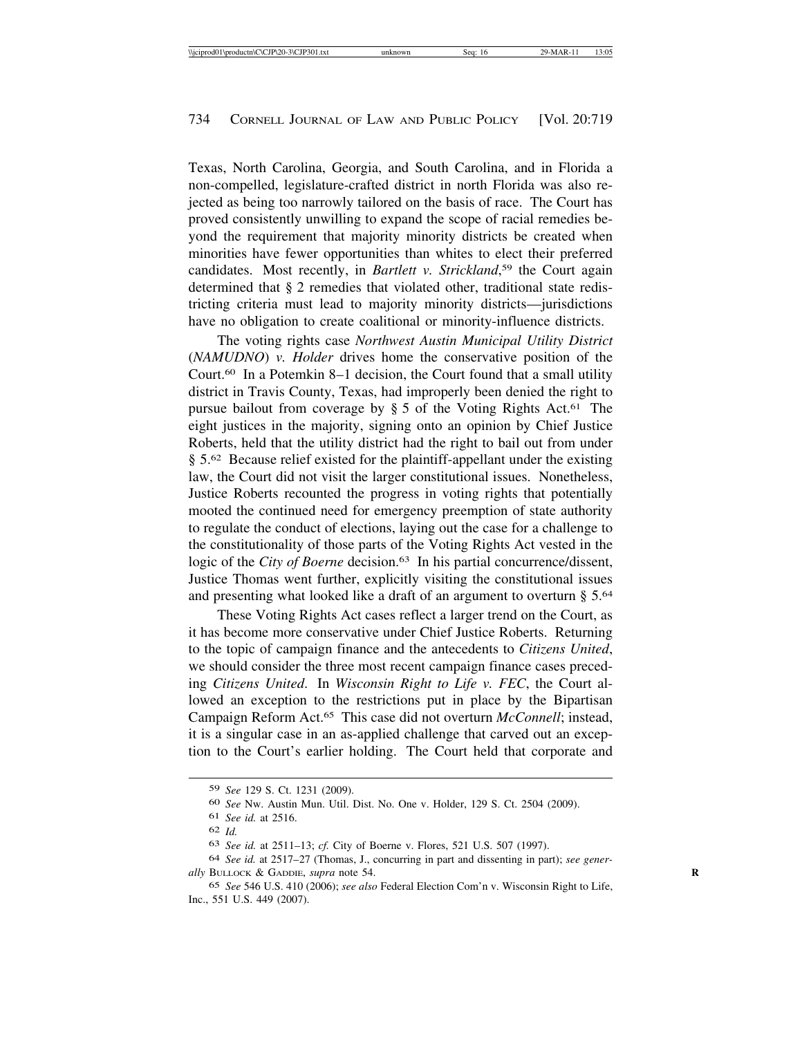Texas, North Carolina, Georgia, and South Carolina, and in Florida a non-compelled, legislature-crafted district in north Florida was also rejected as being too narrowly tailored on the basis of race. The Court has proved consistently unwilling to expand the scope of racial remedies beyond the requirement that majority minority districts be created when minorities have fewer opportunities than whites to elect their preferred candidates. Most recently, in *Bartlett v. Strickland*, 59 the Court again determined that § 2 remedies that violated other, traditional state redistricting criteria must lead to majority minority districts—jurisdictions have no obligation to create coalitional or minority-influence districts.

The voting rights case *Northwest Austin Municipal Utility District* (*NAMUDNO*) *v. Holder* drives home the conservative position of the Court.60 In a Potemkin 8–1 decision, the Court found that a small utility district in Travis County, Texas, had improperly been denied the right to pursue bailout from coverage by  $\S$  5 of the Voting Rights Act.<sup>61</sup> The eight justices in the majority, signing onto an opinion by Chief Justice Roberts, held that the utility district had the right to bail out from under § 5.<sup>62</sup> Because relief existed for the plaintiff-appellant under the existing law, the Court did not visit the larger constitutional issues. Nonetheless, Justice Roberts recounted the progress in voting rights that potentially mooted the continued need for emergency preemption of state authority to regulate the conduct of elections, laying out the case for a challenge to the constitutionality of those parts of the Voting Rights Act vested in the logic of the *City of Boerne* decision.<sup>63</sup> In his partial concurrence/dissent, Justice Thomas went further, explicitly visiting the constitutional issues and presenting what looked like a draft of an argument to overturn § 5.64

These Voting Rights Act cases reflect a larger trend on the Court, as it has become more conservative under Chief Justice Roberts. Returning to the topic of campaign finance and the antecedents to *Citizens United*, we should consider the three most recent campaign finance cases preceding *Citizens United*. In *Wisconsin Right to Life v. FEC*, the Court allowed an exception to the restrictions put in place by the Bipartisan Campaign Reform Act.65 This case did not overturn *McConnell*; instead, it is a singular case in an as-applied challenge that carved out an exception to the Court's earlier holding. The Court held that corporate and

<sup>59</sup> *See* 129 S. Ct. 1231 (2009).

<sup>60</sup> *See* Nw. Austin Mun. Util. Dist. No. One v. Holder, 129 S. Ct. 2504 (2009).

<sup>61</sup> *See id.* at 2516.

<sup>62</sup> *Id.*

<sup>63</sup> *See id.* at 2511–13; *cf.* City of Boerne v. Flores, 521 U.S. 507 (1997).

<sup>64</sup> *See id.* at 2517–27 (Thomas, J., concurring in part and dissenting in part); *see generally* BULLOCK & GADDIE, *supra* note 54. **R**

<sup>65</sup> *See* 546 U.S. 410 (2006); *see also* Federal Election Com'n v. Wisconsin Right to Life, Inc., 551 U.S. 449 (2007).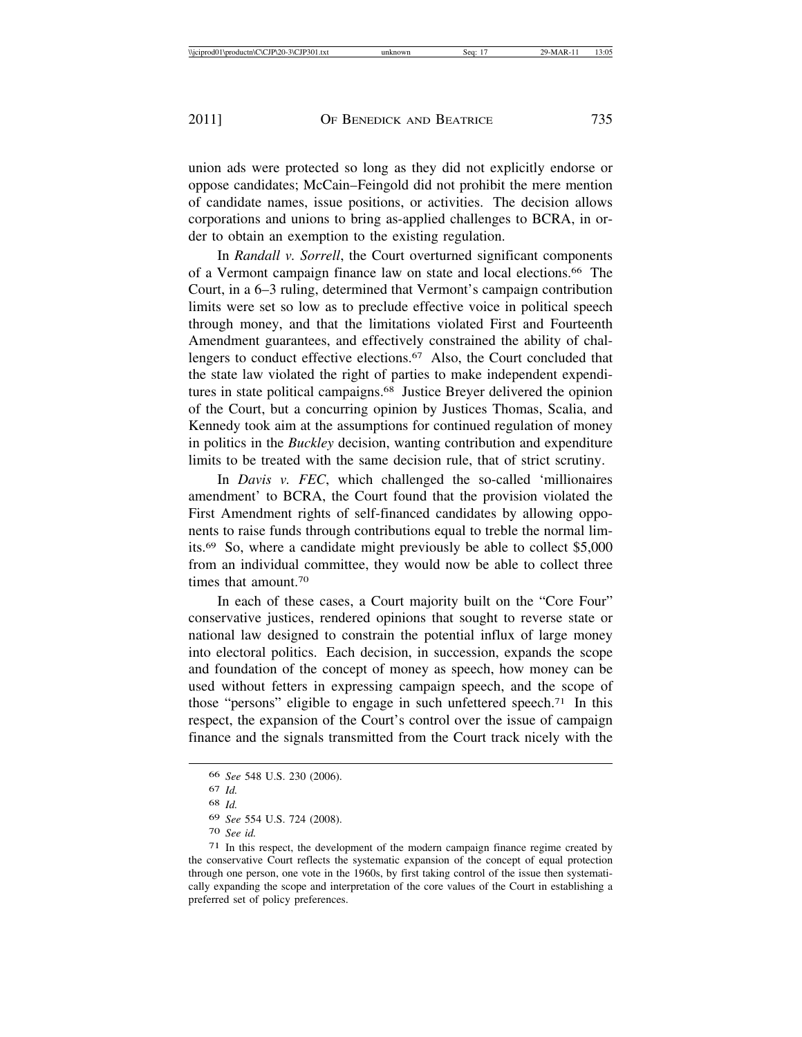union ads were protected so long as they did not explicitly endorse or oppose candidates; McCain–Feingold did not prohibit the mere mention of candidate names, issue positions, or activities. The decision allows corporations and unions to bring as-applied challenges to BCRA, in order to obtain an exemption to the existing regulation.

In *Randall v. Sorrell*, the Court overturned significant components of a Vermont campaign finance law on state and local elections.66 The Court, in a 6–3 ruling, determined that Vermont's campaign contribution limits were set so low as to preclude effective voice in political speech through money, and that the limitations violated First and Fourteenth Amendment guarantees, and effectively constrained the ability of challengers to conduct effective elections.<sup>67</sup> Also, the Court concluded that the state law violated the right of parties to make independent expenditures in state political campaigns.<sup>68</sup> Justice Breyer delivered the opinion of the Court, but a concurring opinion by Justices Thomas, Scalia, and Kennedy took aim at the assumptions for continued regulation of money in politics in the *Buckley* decision, wanting contribution and expenditure limits to be treated with the same decision rule, that of strict scrutiny.

In *Davis v. FEC*, which challenged the so-called 'millionaires amendment' to BCRA, the Court found that the provision violated the First Amendment rights of self-financed candidates by allowing opponents to raise funds through contributions equal to treble the normal limits.69 So, where a candidate might previously be able to collect \$5,000 from an individual committee, they would now be able to collect three times that amount.70

In each of these cases, a Court majority built on the "Core Four" conservative justices, rendered opinions that sought to reverse state or national law designed to constrain the potential influx of large money into electoral politics. Each decision, in succession, expands the scope and foundation of the concept of money as speech, how money can be used without fetters in expressing campaign speech, and the scope of those "persons" eligible to engage in such unfettered speech.<sup>71</sup> In this respect, the expansion of the Court's control over the issue of campaign finance and the signals transmitted from the Court track nicely with the

<sup>66</sup> *See* 548 U.S. 230 (2006).

<sup>67</sup> *Id.*

<sup>68</sup> *Id.*

<sup>69</sup> *See* 554 U.S. 724 (2008).

<sup>70</sup> *See id.*

<sup>71</sup> In this respect, the development of the modern campaign finance regime created by the conservative Court reflects the systematic expansion of the concept of equal protection through one person, one vote in the 1960s, by first taking control of the issue then systematically expanding the scope and interpretation of the core values of the Court in establishing a preferred set of policy preferences.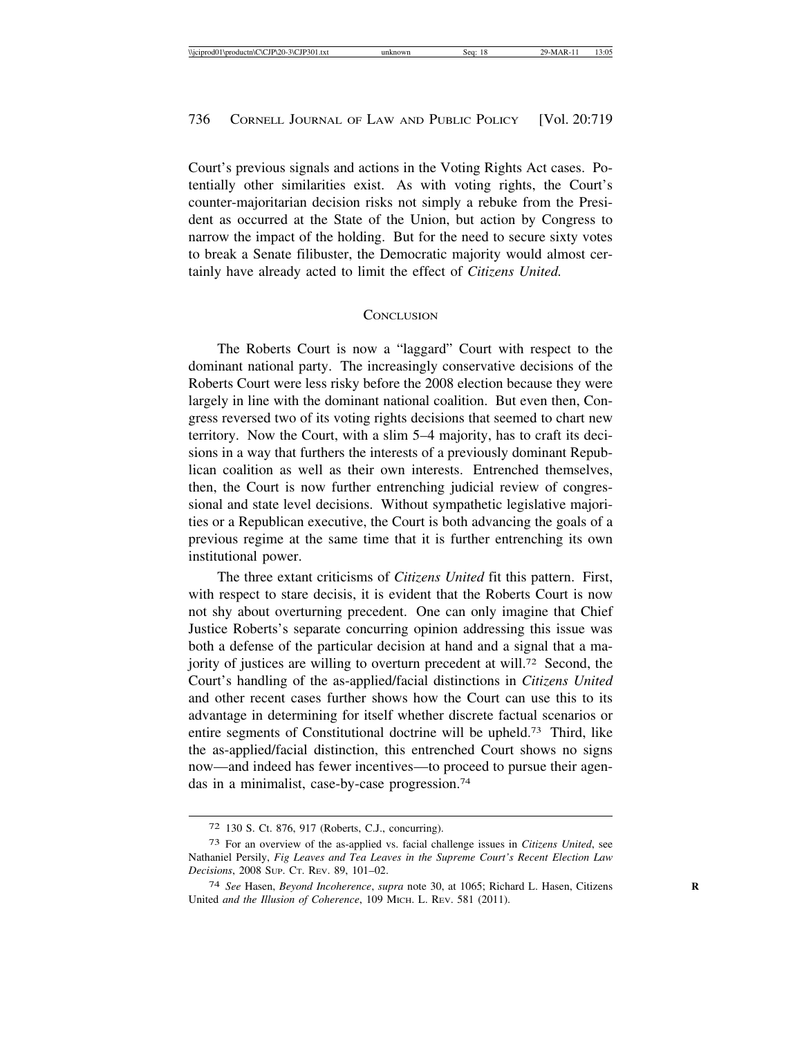Court's previous signals and actions in the Voting Rights Act cases. Potentially other similarities exist. As with voting rights, the Court's counter-majoritarian decision risks not simply a rebuke from the President as occurred at the State of the Union, but action by Congress to narrow the impact of the holding. But for the need to secure sixty votes to break a Senate filibuster, the Democratic majority would almost certainly have already acted to limit the effect of *Citizens United.*

#### **CONCLUSION**

The Roberts Court is now a "laggard" Court with respect to the dominant national party. The increasingly conservative decisions of the Roberts Court were less risky before the 2008 election because they were largely in line with the dominant national coalition. But even then, Congress reversed two of its voting rights decisions that seemed to chart new territory. Now the Court, with a slim 5–4 majority, has to craft its decisions in a way that furthers the interests of a previously dominant Republican coalition as well as their own interests. Entrenched themselves, then, the Court is now further entrenching judicial review of congressional and state level decisions. Without sympathetic legislative majorities or a Republican executive, the Court is both advancing the goals of a previous regime at the same time that it is further entrenching its own institutional power.

The three extant criticisms of *Citizens United* fit this pattern. First, with respect to stare decisis, it is evident that the Roberts Court is now not shy about overturning precedent. One can only imagine that Chief Justice Roberts's separate concurring opinion addressing this issue was both a defense of the particular decision at hand and a signal that a majority of justices are willing to overturn precedent at will.72 Second, the Court's handling of the as-applied/facial distinctions in *Citizens United* and other recent cases further shows how the Court can use this to its advantage in determining for itself whether discrete factual scenarios or entire segments of Constitutional doctrine will be upheld.73 Third, like the as-applied/facial distinction, this entrenched Court shows no signs now—and indeed has fewer incentives—to proceed to pursue their agendas in a minimalist, case-by-case progression.74

<sup>72</sup> 130 S. Ct. 876, 917 (Roberts, C.J., concurring).

<sup>73</sup> For an overview of the as-applied vs. facial challenge issues in *Citizens United*, see Nathaniel Persily, *Fig Leaves and Tea Leaves in the Supreme Court's Recent Election Law Decisions*, 2008 SUP. CT. REV. 89, 101–02.

<sup>74</sup> *See* Hasen, *Beyond Incoherence*, *supra* note 30, at 1065; Richard L. Hasen, Citizens **R** United *and the Illusion of Coherence*, 109 MICH. L. REV. 581 (2011).